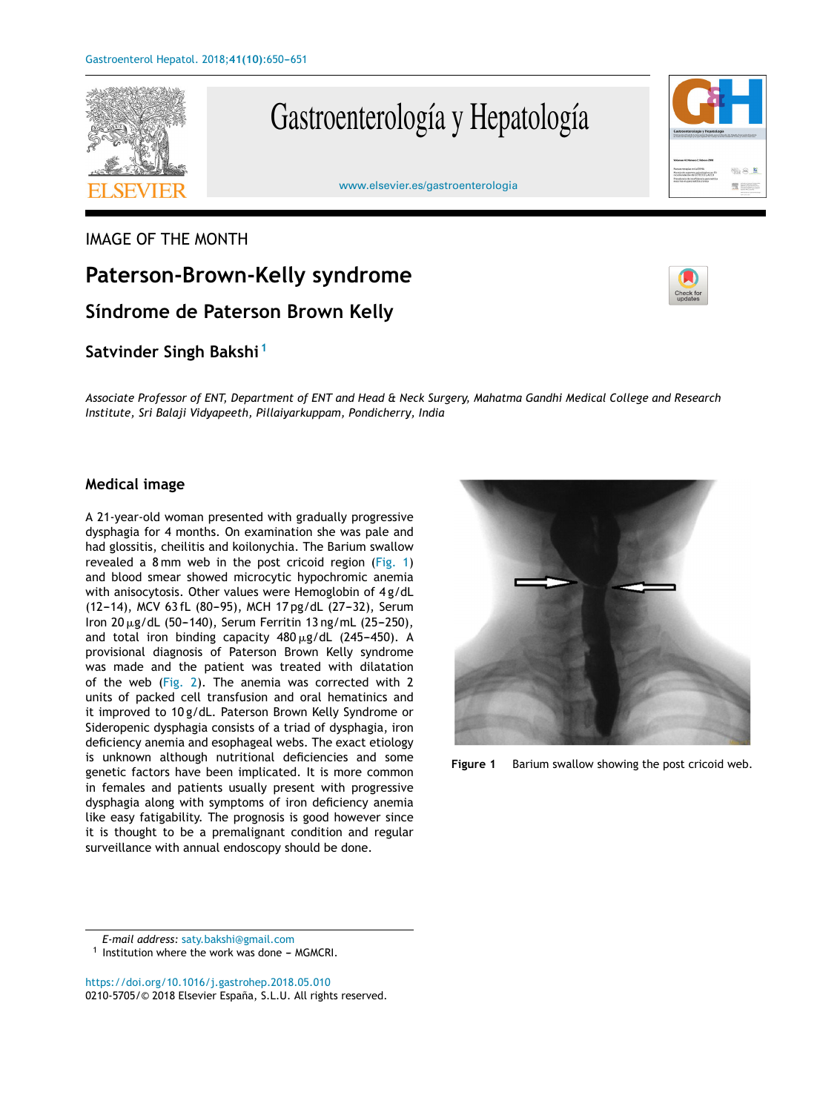

# Gastroenterología y Hepatología

### IMAGE OF THE MONTH

## **Paterson-Brown-Kelly syndrome Síndrome de Paterson Brown Kelly**

### **Satvinder Singh Bakshi <sup>1</sup>**

Associate Professor of ENT, Department of ENT and Head & Neck Surgery, Mahatma Gandhi Medical College and Research *Institute, Sri Balaji Vidyapeeth, Pillaiyarkuppam, Pondicherry, India*

#### **Medical image**

A 21-year-old woman presented with gradually progressive dysphagia for 4 months. On examination she was pale and had glossitis, cheilitis and koilonychia. The Barium swallow revealed a 8 mm web in the post cricoid region (Fig. 1) and blood smear showed microcytic hypochromic anemia with anisocytosis. Other values were Hemoglobin of 4 g/dL (12-14), MCV 63 fL (80-95), MCH 17 pg/dL (27-32), Serum Iron 20  $\mu$ g/dL (50–140), Serum Ferritin 13 ng/mL (25–250), and total iron binding capacity  $480 \,\mathrm{\upmu g/dL}$  (245–450). A provisional diagnosis of Paterson Brown Kelly syndrome was made and the patient was treated with dilatation of the web [\(Fig.](#page-1-0) 2). The anemia was corrected with 2 units of packed cell transfusion and oral hematinics and it improved to 10 g/dL. Paterson Brown Kelly Syndrome or Sideropenic dysphagia consists of a triad of dysphagia, iron deficiency anemia and esophageal webs. The exact etiology is unknown although nutritional deficiencies and some genetic factors have been implicated. It is more common in females and patients usually present with progressive dysphagia along with symptoms of iron deficiency anemia like easy fatigability. The prognosis is good however since it is thought to be a premalignant condition and regular surveillance with annual endoscopy should be done.



**Figure 1** Barium swallow showing the post cricoid web.

*E-mail address:* [saty.bakshi@gmail.com](mailto:saty.bakshi@gmail.com)

 $1$  Institution where the work was done - MGMCRI.

<https://doi.org/10.1016/j.gastrohep.2018.05.010> 0210-5705/© 2018 Elsevier España, S.L.U. All rights reserved.